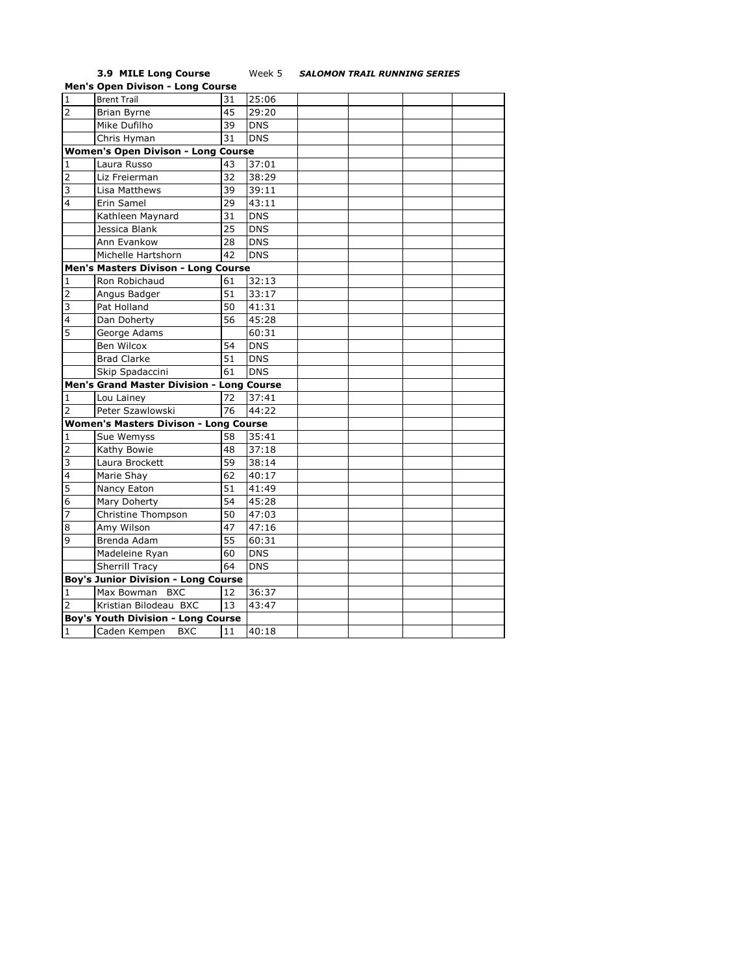## **3.9 MILE Long Course** Week 5 *SALOMON TRAIL RUNNING SERIES*

|                          | <b>Men's Open Divison - Long Course</b>      |    |            |  |  |
|--------------------------|----------------------------------------------|----|------------|--|--|
| $\overline{1}$           | <b>Brent Trail</b>                           | 31 | 25:06      |  |  |
| $\overline{2}$           | <b>Brian Byrne</b>                           | 45 | 29:20      |  |  |
|                          | Mike Dufilho                                 | 39 | <b>DNS</b> |  |  |
|                          | Chris Hyman                                  | 31 | <b>DNS</b> |  |  |
|                          | <b>Women's Open Divison - Long Course</b>    |    |            |  |  |
| 1                        | Laura Russo                                  | 43 | 37:01      |  |  |
| $\overline{2}$           | Liz Freierman                                | 32 | 38:29      |  |  |
| $\overline{3}$           | Lisa Matthews                                | 39 | 39:11      |  |  |
| $\overline{\mathbf{4}}$  | Erin Samel                                   | 29 | 43:11      |  |  |
|                          | Kathleen Maynard                             | 31 | <b>DNS</b> |  |  |
|                          | Jessica Blank                                | 25 | <b>DNS</b> |  |  |
|                          | Ann Evankow                                  | 28 | <b>DNS</b> |  |  |
|                          | Michelle Hartshorn                           | 42 | <b>DNS</b> |  |  |
|                          | <b>Men's Masters Divison - Long Course</b>   |    |            |  |  |
| 1                        | Ron Robichaud                                | 61 | 32:13      |  |  |
| $\overline{2}$           | Angus Badger                                 | 51 | 33:17      |  |  |
| 3                        | Pat Holland                                  | 50 | 41:31      |  |  |
| 4                        | Dan Doherty                                  | 56 | 45:28      |  |  |
| $\overline{5}$           | George Adams                                 |    | 60:31      |  |  |
|                          | Ben Wilcox                                   | 54 | <b>DNS</b> |  |  |
|                          | <b>Brad Clarke</b>                           | 51 | <b>DNS</b> |  |  |
|                          | Skip Spadaccini                              | 61 | <b>DNS</b> |  |  |
|                          | Men's Grand Master Division - Long Course    |    |            |  |  |
| 1                        | Lou Lainey                                   | 72 | 37:41      |  |  |
| $\overline{2}$           | Peter Szawlowski                             | 76 | 44:22      |  |  |
|                          | <b>Women's Masters Divison - Long Course</b> |    |            |  |  |
| 1                        | Sue Wemyss                                   | 58 | 35:41      |  |  |
| $\overline{2}$           | Kathy Bowie                                  | 48 | 37:18      |  |  |
| 3                        | Laura Brockett                               | 59 | 38:14      |  |  |
| $\overline{\mathcal{L}}$ | Marie Shay                                   | 62 | 40:17      |  |  |
| 5                        | Nancy Eaton                                  | 51 | 41:49      |  |  |
| 6                        | Mary Doherty                                 | 54 | 45:28      |  |  |
| $\overline{7}$           | Christine Thompson                           | 50 | 47:03      |  |  |
| 8                        | Amy Wilson                                   | 47 | 47:16      |  |  |
| 9                        | Brenda Adam                                  | 55 | 60:31      |  |  |
|                          | Madeleine Ryan                               | 60 | <b>DNS</b> |  |  |
|                          | Sherrill Tracy                               | 64 | <b>DNS</b> |  |  |
|                          | <b>Boy's Junior Division - Long Course</b>   |    |            |  |  |
| 1                        | Max Bowman BXC                               | 12 | 36:37      |  |  |
| $\overline{2}$           | Kristian Bilodeau BXC                        | 13 | 43:47      |  |  |
|                          | <b>Boy's Youth Division - Long Course</b>    |    |            |  |  |
| $\mathbf{1}$             | Caden Kempen<br><b>BXC</b>                   | 11 | 40:18      |  |  |